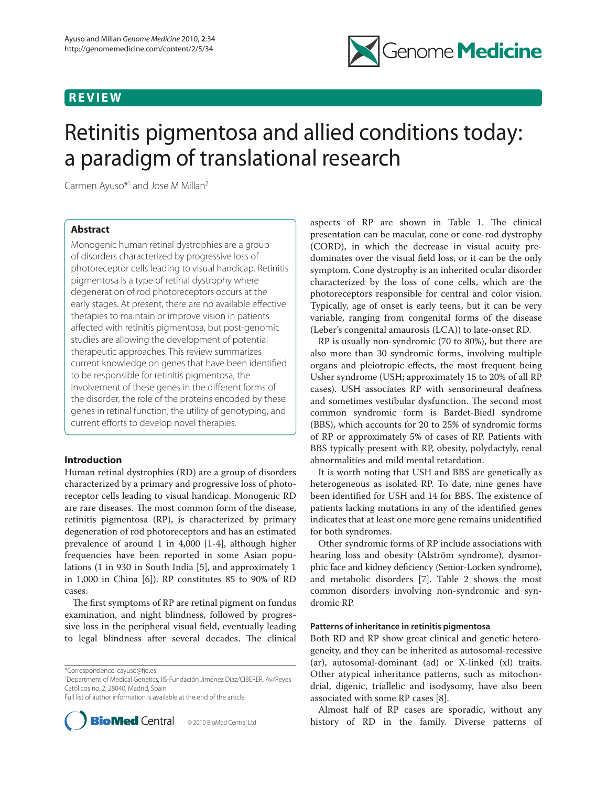## **REVIEW**



# Retinitis pigmentosa and allied conditions today: a paradigm of translational research

Carmen Ayuso\*<sup>1</sup> and Jose M Millan<sup>2</sup>

## **Abstract**

Monogenic human retinal dystrophies are a group of disorders characterized by progressive loss of photoreceptor cells leading to visual handicap. Retinitis pigmentosa is a type of retinal dystrophy where degeneration of rod photoreceptors occurs at the early stages. At present, there are no available effective therapies to maintain or improve vision in patients affected with retinitis pigmentosa, but post-genomic studies are allowing the development of potential therapeutic approaches. This review summarizes current knowledge on genes that have been identified to be responsible for retinitis pigmentosa, the involvement of these genes in the different forms of the disorder, the role of the proteins encoded by these genes in retinal function, the utility of genotyping, and current efforts to develop novel therapies.

## **Introduction**

Human retinal dystrophies (RD) are a group of disorders characterized by a primary and progressive loss of photoreceptor cells leading to visual handicap. Monogenic RD are rare diseases. The most common form of the disease, retinitis pigmentosa (RP), is characterized by primary degeneration of rod photoreceptors and has an estimated prevalence of around 1 in 4,000 [1-4], although higher frequencies have been reported in some Asian populations (1 in 930 in South India [5], and approximately 1 in 1,000 in China [6]). RP constitutes 85 to 90% of RD cases.

The first symptoms of RP are retinal pigment on fundus examination, and night blindness, followed by progressive loss in the peripheral visual field, eventually leading to legal blindness after several decades. The clinical

\*Correspondence: cayuso@fjd.es

1 Department of Medical Genetics, IIS-Fundación Jiménez Díaz/CIBERER, Av/Reyes Católicos no. 2; 28040, Madrid, Spain

Full list of author information is available at the end of the article



aspects of  $RP$  are shown in Table 1. The clinical presentation can be macular, cone or cone-rod dystrophy (CORD), in which the decrease in visual acuity predominates over the visual field loss, or it can be the only symptom. Cone dystrophy is an inherited ocular disorder characterized by the loss of cone cells, which are the photoreceptors responsible for central and color vision. Typically, age of onset is early teens, but it can be very variable, ranging from congenital forms of the disease (Leber's congenital amaurosis (LCA)) to late-onset RD.

RP is usually non-syndromic (70 to 80%), but there are also more than 30 syndromic forms, involving multiple organs and pleiotropic effects, the most frequent being Usher syndrome (USH; approximately 15 to 20% of all RP cases). USH associates RP with sensorineural deafness and sometimes vestibular dysfunction. The second most common syndromic form is Bardet-Biedl syndrome (BBS), which accounts for 20 to 25% of syndromic forms of RP or approximately 5% of cases of RP. Patients with BBS typically present with RP, obesity, polydactyly, renal abnormalities and mild mental retardation.

It is worth noting that USH and BBS are genetically as heterogeneous as isolated RP. To date, nine genes have been identified for USH and 14 for BBS. The existence of patients lacking mutations in any of the identified genes indicates that at least one more gene remains unidentified for both syndromes.

Other syndromic forms of RP include associations with hearing loss and obesity (Alström syndrome), dysmorphic face and kidney deficiency (Senior-Locken syndrome), and metabolic disorders [7]. Table 2 shows the most common disorders involving non-syndromic and syndromic RP.

## **Patterns of inheritance in retinitis pigmentosa**

Both RD and RP show great clinical and genetic heterogeneity, and they can be inherited as autosomal-recessive (ar), autosomal-dominant (ad) or X-linked (xl) traits. Other atypical inheritance patterns, such as mitochondrial, digenic, triallelic and isodysomy, have also been associated with some RP cases [8].

Almost half of RP cases are sporadic, without any history of RD in the family. Diverse patterns of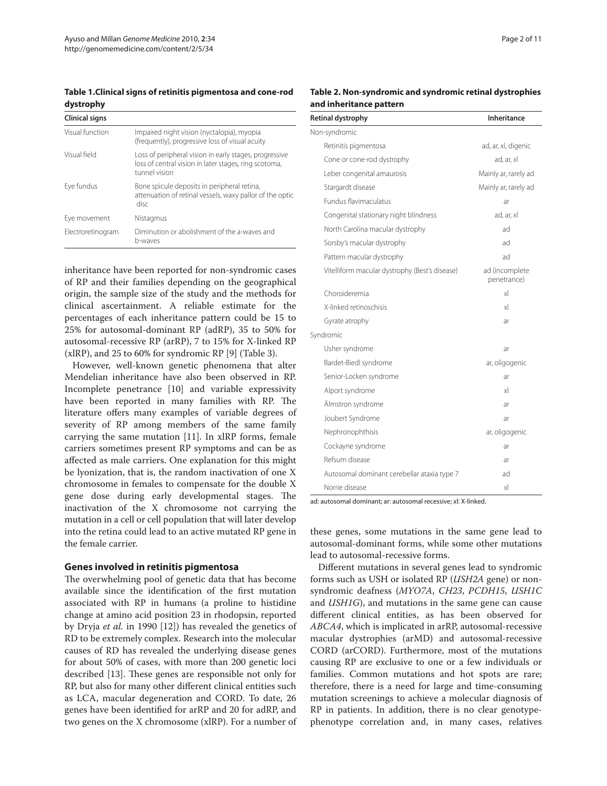**Table 1.Clinical signs of retinitis pigmentosa and cone-rod dystrophy**

| <b>Clinical signs</b> |                                                                                                                                  |
|-----------------------|----------------------------------------------------------------------------------------------------------------------------------|
| Visual function       | Impaired night vision (nyctalopia), myopia<br>(frequently), progressive loss of visual acuity                                    |
| Visual field          | Loss of peripheral vision in early stages, progressive<br>loss of central vision in later stages, ring scotoma,<br>tunnel vision |
| Eye fundus            | Bone spicule deposits in peripheral retina,<br>attenuation of retinal vessels, waxy pallor of the optic<br>disc                  |
| Eye movement          | Nistagmus                                                                                                                        |
| Electroretinogram     | Diminution or abolishment of the a-waves and<br>b-waves                                                                          |

inheritance have been reported for non-syndromic cases of RP and their families depending on the geographical origin, the sample size of the study and the methods for clinical ascertainment. A reliable estimate for the percentages of each inheritance pattern could be 15 to 25% for autosomal-dominant RP (adRP), 35 to 50% for autosomal-recessive RP (arRP), 7 to 15% for X-linked RP (xlRP), and 25 to 60% for syndromic RP [9] (Table 3).

However, well-known genetic phenomena that alter Mendelian inheritance have also been observed in RP. Incomplete penetrance [10] and variable expressivity have been reported in many families with RP. The literature offers many examples of variable degrees of severity of RP among members of the same family carrying the same mutation [11]. In xlRP forms, female carriers sometimes present RP symptoms and can be as affected as male carriers. One explanation for this might be lyonization, that is, the random inactivation of one X chromosome in females to compensate for the double X gene dose during early developmental stages. The inactivation of the X chromosome not carrying the mutation in a cell or cell population that will later develop into the retina could lead to an active mutated RP gene in the female carrier.

## **Genes involved in retinitis pigmentosa**

The overwhelming pool of genetic data that has become available since the identification of the first mutation associated with RP in humans (a proline to histidine change at amino acid position 23 in rhodopsin, reported by Dryja *et al.* in 1990 [12]) has revealed the genetics of RD to be extremely complex. Research into the molecular causes of RD has revealed the underlying disease genes for about 50% of cases, with more than 200 genetic loci described [13]. These genes are responsible not only for RP, but also for many other different clinical entities such as LCA, macular degeneration and CORD. To date, 26 genes have been identified for arRP and 20 for adRP, and two genes on the X chromosome (xlRP). For a number of

## **Table 2. Non-syndromic and syndromic retinal dystrophies and inheritance pattern**

| <b>Retinal dystrophy</b>                       | <b>Inheritance</b>            |  |  |  |  |
|------------------------------------------------|-------------------------------|--|--|--|--|
| Non-syndromic                                  |                               |  |  |  |  |
| Retinitis pigmentosa                           | ad, ar, xl, digenic           |  |  |  |  |
| Cone or cone-rod dystrophy                     | ad, ar, xl                    |  |  |  |  |
| Leber congenital amaurosis                     | Mainly ar, rarely ad          |  |  |  |  |
| Stargardt disease                              | Mainly ar, rarely ad          |  |  |  |  |
| <b>Fundus flavimaculatus</b>                   | ar                            |  |  |  |  |
| Congenital stationary night blindness          | ad, ar, xl                    |  |  |  |  |
| North Carolina macular dystrophy               | ad                            |  |  |  |  |
| Sorsby's macular dystrophy                     | ad                            |  |  |  |  |
| Pattern macular dystrophy                      | ad                            |  |  |  |  |
| Vitelliform macular dystrophy (Best's disease) | ad (incomplete<br>penetrance) |  |  |  |  |
| Choroideremia                                  | xl                            |  |  |  |  |
| X-linked retinoschisis                         | xl                            |  |  |  |  |
| Gyrate atrophy                                 | ar                            |  |  |  |  |
| Syndromic                                      |                               |  |  |  |  |
| Usher syndrome                                 | ar                            |  |  |  |  |
| Bardet-Biedl syndrome                          | ar, oligogenic                |  |  |  |  |
| Senior-Locken syndrome                         | ar                            |  |  |  |  |
| Alport syndrome                                | xl                            |  |  |  |  |
| Älmstron syndrome                              | ar                            |  |  |  |  |
| Joubert Syndrome                               | ar                            |  |  |  |  |
| Nephronophthisis                               | ar, oligogenic                |  |  |  |  |
| Cockayne syndrome                              | ar                            |  |  |  |  |
| Refsum disease                                 | ar                            |  |  |  |  |
| Autosomal dominant cerebellar ataxia type 7    | ad                            |  |  |  |  |
| Norrie disease                                 | xl                            |  |  |  |  |

ad: autosomal dominant; ar: autosomal recessive; xl: X-linked.

these genes, some mutations in the same gene lead to autosomal-dominant forms, while some other mutations lead to autosomal-recessive forms.

Different mutations in several genes lead to syndromic forms such as USH or isolated RP (*USH2A* gene) or nonsyndromic deafness (*MYO7A*, *CH23*, *PCDH15*, *USH1C*  and *USH1G*), and mutations in the same gene can cause different clinical entities, as has been observed for *ABCA4*, which is implicated in arRP, autosomal-recessive macular dystrophies (arMD) and autosomal-recessive CORD (arCORD). Furthermore, most of the mutations causing RP are exclusive to one or a few individuals or families. Common mutations and hot spots are rare; therefore, there is a need for large and time-consuming mutation screenings to achieve a molecular diagnosis of RP in patients. In addition, there is no clear genotypephenotype correlation and, in many cases, relatives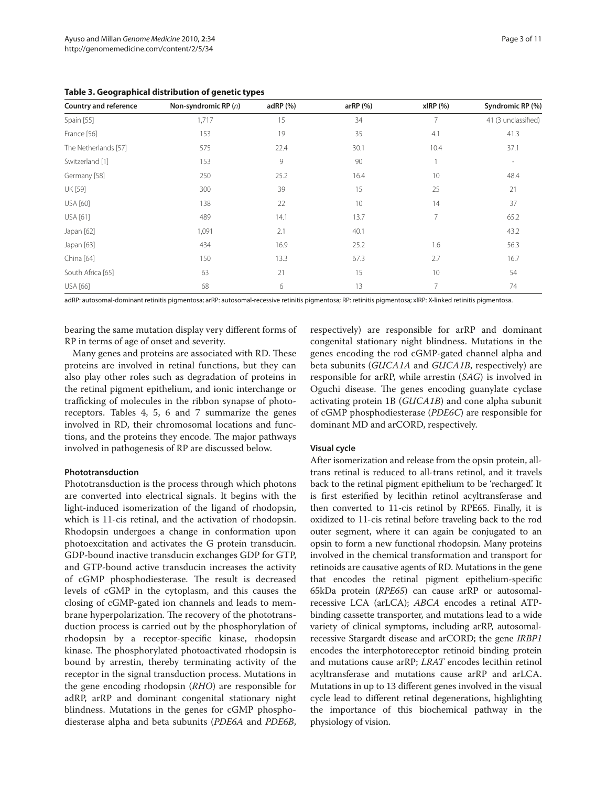| Country and reference | Non-syndromic RP (n) | adRP (%) | arRP(%) | xIRP(%) | Syndromic RP (%)         |
|-----------------------|----------------------|----------|---------|---------|--------------------------|
| Spain [55]            | 1,717                | 15       | 34      | 7       | 41 (3 unclassified)      |
| France [56]           | 153                  | 19       | 35      | 4.1     | 41.3                     |
| The Netherlands [57]  | 575                  | 22.4     | 30.1    | 10.4    | 37.1                     |
| Switzerland [1]       | 153                  | 9        | 90      | 1       | $\overline{\phantom{a}}$ |
| Germany [58]          | 250                  | 25.2     | 16.4    | 10      | 48.4                     |
| UK [59]               | 300                  | 39       | 15      | 25      | 21                       |
| USA [60]              | 138                  | 22       | 10      | 14      | 37                       |
| USA [61]              | 489                  | 14.1     | 13.7    | 7       | 65.2                     |
| Japan [62]            | 1,091                | 2.1      | 40.1    |         | 43.2                     |
| Japan [63]            | 434                  | 16.9     | 25.2    | 1.6     | 56.3                     |
| China [64]            | 150                  | 13.3     | 67.3    | 2.7     | 16.7                     |
| South Africa [65]     | 63                   | 21       | 15      | 10      | 54                       |
| USA [66]              | 68                   | 6        | 13      | 7       | 74                       |

**Table 3. Geographical distribution of genetic types**

adRP: autosomal-dominant retinitis pigmentosa; arRP: autosomal-recessive retinitis pigmentosa; RP: retinitis pigmentosa; xlRP: X-linked retinitis pigmentosa.

bearing the same mutation display very different forms of RP in terms of age of onset and severity.

Many genes and proteins are associated with RD. These proteins are involved in retinal functions, but they can also play other roles such as degradation of proteins in the retinal pigment epithelium, and ionic interchange or trafficking of molecules in the ribbon synapse of photoreceptors. Tables 4, 5, 6 and 7 summarize the genes involved in RD, their chromosomal locations and functions, and the proteins they encode. The major pathways involved in pathogenesis of RP are discussed below.

## **Phototransduction**

Phototransduction is the process through which photons are converted into electrical signals. It begins with the light-induced isomerization of the ligand of rhodopsin, which is 11-cis retinal, and the activation of rhodopsin. Rhodopsin undergoes a change in conformation upon photoexcitation and activates the G protein transducin. GDP-bound inactive transducin exchanges GDP for GTP, and GTP-bound active transducin increases the activity of cGMP phosphodiesterase. The result is decreased levels of cGMP in the cytoplasm, and this causes the closing of cGMP-gated ion channels and leads to membrane hyperpolarization. The recovery of the phototransduction process is carried out by the phosphorylation of rhodopsin by a receptor-specific kinase, rhodopsin kinase. The phosphorylated photoactivated rhodopsin is bound by arrestin, thereby terminating activity of the receptor in the signal transduction process. Mutations in the gene encoding rhodopsin (*RHO*) are responsible for adRP, arRP and dominant congenital stationary night blindness. Mutations in the genes for cGMP phosphodiesterase alpha and beta subunits (*PDE6A* and *PDE6B*,

respectively) are responsible for arRP and dominant congenital stationary night blindness. Mutations in the genes encoding the rod cGMP-gated channel alpha and beta subunits (*GUCA1A* and *GUCA1B*, respectively) are responsible for arRP, while arrestin (*SAG*) is involved in Oguchi disease. The genes encoding guanylate cyclase activating protein 1B (*GUCA1B*) and cone alpha subunit of cGMP phosphodiesterase (*PDE6C*) are responsible for dominant MD and arCORD, respectively.

## **Visual cycle**

After isomerization and release from the opsin protein, alltrans retinal is reduced to all-trans retinol, and it travels back to the retinal pigment epithelium to be 'recharged'. It is first esterified by lecithin retinol acyltransferase and then converted to 11-cis retinol by RPE65. Finally, it is oxidized to 11-cis retinal before traveling back to the rod outer segment, where it can again be conjugated to an opsin to form a new functional rhodopsin. Many proteins involved in the chemical transformation and transport for retinoids are causative agents of RD. Mutations in the gene that encodes the retinal pigment epithelium-specific 65kDa protein (*RPE65*) can cause arRP or autosomalrecessive LCA (arLCA); *ABCA* encodes a retinal ATPbinding cassette transporter, and mutations lead to a wide variety of clinical symptoms, including arRP, autosomalrecessive Stargardt disease and arCORD; the gene *IRBP1*  encodes the interphotoreceptor retinoid binding protein and mutations cause arRP; *LRAT* encodes lecithin retinol acyltransferase and mutations cause arRP and arLCA. Mutations in up to 13 different genes involved in the visual cycle lead to different retinal degenerations, highlighting the importance of this biochemical pathway in the physiology of vision.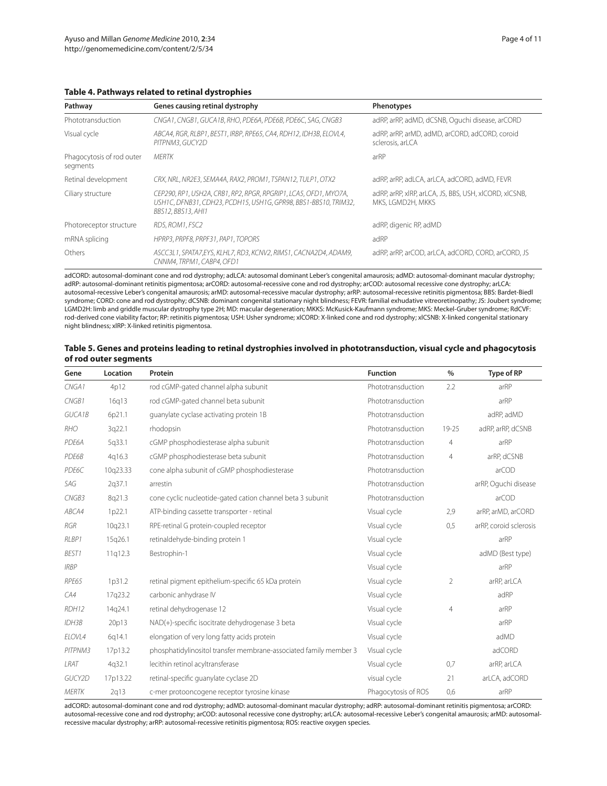## **Table 4. Pathways related to retinal dystrophies**

| Pathway                               | Genes causing retinal dystrophy                                                                                                                           | Phenotypes                                                                  |
|---------------------------------------|-----------------------------------------------------------------------------------------------------------------------------------------------------------|-----------------------------------------------------------------------------|
| Phototransduction                     | CNGA1, CNGB1, GUCA1B, RHO, PDE6A, PDE6B, PDE6C, SAG, CNGB3                                                                                                | adRP, arRP, adMD, dCSNB, Oguchi disease, arCORD                             |
| Visual cycle                          | ABCA4, RGR, RLBP1, BEST1, IRBP, RPE65, CA4, RDH12, IDH3B, ELOVL4,<br>PITPNM3. GUCY2D                                                                      | adRP, arRP, arMD, adMD, arCORD, adCORD, coroid<br>sclerosis, arLCA          |
| Phagocytosis of rod outer<br>segments | <b>MFRTK</b>                                                                                                                                              | arRP                                                                        |
| Retinal development                   | CRX, NRL, NR2E3, SEMA4A, RAX2, PROM1, TSPAN12, TULP1, OTX2                                                                                                | adRP, arRP, adLCA, arLCA, adCORD, adMD, FEVR                                |
| Ciliary structure                     | CEP290, RP1, USH2A, CRB1, RP2, RPGR, RPGRIP1, LCA5, OFD1, MYO7A,<br>USH1C, DFNB31, CDH23, PCDH15, USH1G, GPR98, BBS1-BBS10, TRIM32,<br>BBS12, BBS13, AHI1 | adRP, arRP, xIRP, arLCA, JS, BBS, USH, xICORD, xICSNB,<br>MKS, LGMD2H, MKKS |
| Photoreceptor structure               | RDS, ROM1, FSC2                                                                                                                                           | adRP, digenic RP, adMD                                                      |
| mRNA splicing                         | HPRP3, PRPF8, PRPF31, PAP1, TOPORS                                                                                                                        | adRP                                                                        |
| Others                                | ASCC3L1, SPATA7,EYS, KLHL7, RD3, KCNV2, RIMS1, CACNA2D4, ADAM9,<br>CNNM4. TRPM1. CABP4. OFD1                                                              | adRP, arRP, arCOD, arLCA, adCORD, CORD, arCORD, JS                          |

adCORD: autosomal-dominant cone and rod dystrophy; adLCA: autosomal dominant Leber's congenital amaurosis; adMD: autosomal-dominant macular dystrophy; adRP: autosomal-dominant retinitis pigmentosa; arCORD: autosomal-recessive cone and rod dystrophy; arCOD: autosomal recessive cone dystrophy; arLCA: autosomal-recessive Leber's congenital amaurosis; arMD: autosomal-recessive macular dystrophy; arRP: autosomal-recessive retinitis pigmentosa; BBS: Bardet-Biedl syndrome; CORD: cone and rod dystrophy; dCSNB: dominant congenital stationary night blindness; FEVR: familial exhudative vitreoretinopathy; JS: Joubert syndrome; LGMD2H: limb and griddle muscular dystrophy type 2H; MD: macular degeneration; MKKS: McKusick-Kaufmann syndrome; MKS: Meckel-Gruber syndrome; RdCVF: rod-derived cone viability factor; RP: retinitis pigmentosa; USH: Usher syndrome; xlCORD: X-linked cone and rod dystrophy; xlCSNB: X-linked congenital stationary night blindness; xlRP: X-linked retinitis pigmentosa.

#### **Table 5. Genes and proteins leading to retinal dystrophies involved in phototransduction, visual cycle and phagocytosis of rod outer segments**

| Gene        | Location | Protein                                                           | <b>Function</b>     | $\%$           | Type of RP             |
|-------------|----------|-------------------------------------------------------------------|---------------------|----------------|------------------------|
| CNGA1       | 4p12     | rod cGMP-gated channel alpha subunit                              | Phototransduction   | 2.2            | arRP                   |
| CNGB1       | 16q13    | rod cGMP-gated channel beta subunit                               | Phototransduction   |                | arRP                   |
| GUCA1B      | 6p21.1   | guanylate cyclase activating protein 1B                           | Phototransduction   |                | adRP, adMD             |
| <b>RHO</b>  | 3q22.1   | rhodopsin                                                         | Phototransduction   | 19-25          | adRP, arRP, dCSNB      |
| PDE6A       | 5q33.1   | cGMP phosphodiesterase alpha subunit                              | Phototransduction   | 4              | arRP                   |
| PDE6B       | 4q16.3   | cGMP phosphodiesterase beta subunit                               | Phototransduction   | 4              | arRP, dCSNB            |
| PDE6C       | 10q23.33 | cone alpha subunit of cGMP phosphodiesterase                      | Phototransduction   |                | arCOD                  |
| SAG         | 2q37.1   | arrestin                                                          | Phototransduction   |                | arRP, Oquchi disease   |
| CNGB3       | 8q21.3   | cone cyclic nucleotide-gated cation channel beta 3 subunit        | Phototransduction   |                | arCOD                  |
| ABCA4       | 1p22.1   | ATP-binding cassette transporter - retinal                        | Visual cycle        | 2,9            | arRP, arMD, arCORD     |
| <b>RGR</b>  | 10q23.1  | RPE-retinal G protein-coupled receptor                            | Visual cycle        | 0,5            | arRP, coroid sclerosis |
| RLBP1       | 15q26.1  | retinaldehyde-binding protein 1                                   | Visual cycle        |                | arRP                   |
| BEST1       | 11q12.3  | Bestrophin-1                                                      | Visual cycle        |                | adMD (Best type)       |
| <b>IRBP</b> |          |                                                                   | Visual cycle        |                | arRP                   |
| RPE65       | 1p31.2   | retinal pigment epithelium-specific 65 kDa protein                | Visual cycle        | 2              | arRP, arLCA            |
| CA4         | 17q23.2  | carbonic anhydrase IV                                             | Visual cycle        |                | adRP                   |
| RDH12       | 14q24.1  | retinal dehydrogenase 12                                          | Visual cycle        | $\overline{4}$ | arRP                   |
| IDH3B       | 20p13    | NAD(+)-specific isocitrate dehydrogenase 3 beta                   | Visual cycle        |                | arRP                   |
| ELOVL4      | 6q14.1   | elongation of very long fatty acids protein                       | Visual cycle        |                | adMD                   |
| PITPNM3     | 17p13.2  | phosphatidylinositol transfer membrane-associated family member 3 | Visual cycle        |                | adCORD                 |
| LRAT        | 4q32.1   | lecithin retinol acyltransferase                                  | Visual cycle        | 0,7            | arRP, arLCA            |
| GUCY2D      | 17p13.22 | retinal-specific quanylate cyclase 2D                             | visual cycle        | 21             | arLCA, adCORD          |
| MERTK       | 2q13     | c-mer protooncogene receptor tyrosine kinase                      | Phagocytosis of ROS | 0,6            | arRP                   |

adCORD: autosomal-dominant cone and rod dystrophy; adMD: autosomal-dominant macular dystrophy; adRP: autosomal-dominant retinitis pigmentosa; arCORD: autosomal-recessive cone and rod dystrophy; arCOD: autosonal recessive cone dystrophy; arLCA: autosomal-recessive Leber's congenital amaurosis; arMD: autosomalrecessive macular dystrophy; arRP: autosomal-recessive retinitis pigmentosa; ROS: reactive oxygen species.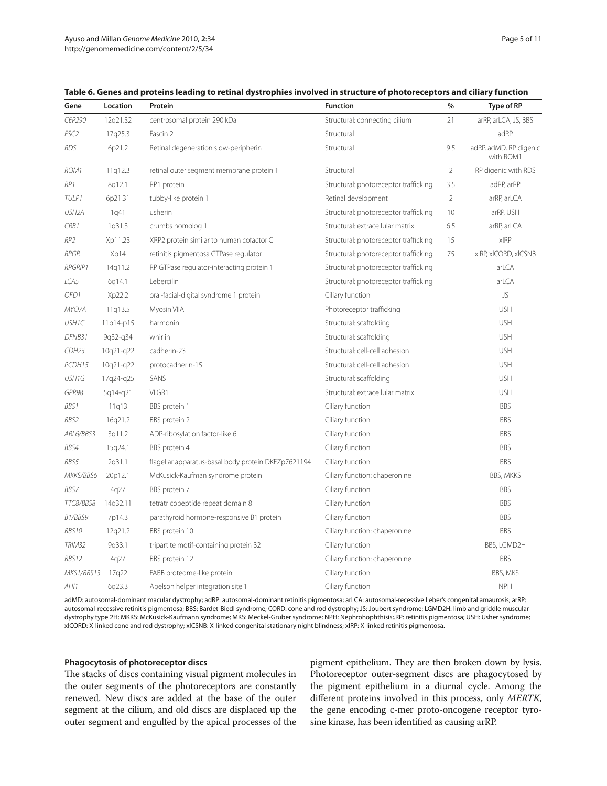|  | Table 6. Genes and proteins leading to retinal dystrophies involved in structure of photoreceptors and ciliary function |  |
|--|-------------------------------------------------------------------------------------------------------------------------|--|
|  |                                                                                                                         |  |

| Gene               | Location  | Protein                                             | <b>Function</b>                       | %              | Type of RP                          |
|--------------------|-----------|-----------------------------------------------------|---------------------------------------|----------------|-------------------------------------|
| CEP290             | 12q21.32  | centrosomal protein 290 kDa                         | 21<br>Structural: connecting cilium   |                | arRP, arLCA, JS, BBS                |
| FSC <sub>2</sub>   | 17q25.3   | Fascin 2                                            | Structural                            |                | adRP                                |
| <b>RDS</b>         | 6p21.2    | Retinal degeneration slow-peripherin                | Structural                            | 9.5            | adRP, adMD, RP digenic<br>with ROM1 |
| ROM1               | 11q12.3   | retinal outer segment membrane protein 1            | Structural                            | $\overline{2}$ | RP digenic with RDS                 |
| RP 1               | 8q12.1    | RP1 protein                                         | Structural: photoreceptor trafficking | 3.5            | adRP, arRP                          |
| TULP1              | 6p21.31   | tubby-like protein 1                                | Retinal development                   | $\overline{2}$ | arRP, arLCA                         |
| USH <sub>2</sub> A | 1q41      | usherin                                             | Structural: photoreceptor trafficking | 10             | arRP, USH                           |
| CRB1               | 1q31.3    | crumbs homolog 1                                    | Structural: extracellular matrix      | 6.5            | arRP, arLCA                         |
| RP <sub>2</sub>    | Xp11.23   | XRP2 protein similar to human cofactor C            | Structural: photoreceptor trafficking | 15             | xIRP                                |
| RPGR               | Xp14      | retinitis pigmentosa GTPase regulator               | Structural: photoreceptor trafficking | 75             | xIRP, xICORD, xICSNB                |
| RPGRIP1            | 14q11.2   | RP GTPase regulator-interacting protein 1           | Structural: photoreceptor trafficking |                | arLCA                               |
| LCA5               | 6q14.1    | Lebercilin                                          | Structural: photoreceptor trafficking |                | arLCA                               |
| OFD1               | Xp22.2    | oral-facial-digital syndrome 1 protein              | Ciliary function                      |                | JS                                  |
| MYO7A              | 11q13.5   | Myosin VIIA                                         | Photoreceptor trafficking             |                | <b>USH</b>                          |
| USH1C              | 11p14-p15 | harmonin                                            | Structural: scaffolding               |                | <b>USH</b>                          |
| DFNB31             | 9q32-q34  | whirlin                                             | Structural: scaffolding               |                | <b>USH</b>                          |
| CDH <sub>23</sub>  | 10q21-q22 | cadherin-23                                         | Structural: cell-cell adhesion        |                | <b>USH</b>                          |
| PCDH15             | 10q21-q22 | protocadherin-15                                    | Structural: cell-cell adhesion        |                | <b>USH</b>                          |
| USH1G              | 17q24-q25 | SANS                                                | Structural: scaffolding               |                | <b>USH</b>                          |
| GPR98              | 5q14-q21  | VLGR1                                               | Structural: extracellular matrix      |                | <b>USH</b>                          |
| BBS1               | 11q13     | BBS protein 1                                       | Ciliary function                      |                | <b>BBS</b>                          |
| BBS2               | 16q21.2   | BBS protein 2                                       | Ciliary function                      |                | <b>BBS</b>                          |
| ARL6/BBS3          | 3q11.2    | ADP-ribosylation factor-like 6                      | Ciliary function                      |                | <b>BBS</b>                          |
| BBS4               | 15q24.1   | BBS protein 4                                       | Ciliary function                      |                | <b>BBS</b>                          |
| BBS5               | 2q31.1    | flagellar apparatus-basal body protein DKFZp7621194 | Ciliary function                      |                | <b>BBS</b>                          |
| MKKS/BBS6          | 20p12.1   | McKusick-Kaufman syndrome protein                   | Ciliary function: chaperonine         |                | <b>BBS, MKKS</b>                    |
| BBS7               | 4q27      | BBS protein 7                                       | Ciliary function                      |                | <b>BBS</b>                          |
| TTC8/BBS8          | 14q32.11  | tetratricopeptide repeat domain 8                   | Ciliary function                      |                | <b>BBS</b>                          |
| B1/BBS9            | 7p14.3    | parathyroid hormone-responsive B1 protein           | Ciliary function                      |                | <b>BBS</b>                          |
| BBS10              | 12q21.2   | BBS protein 10                                      | Ciliary function: chaperonine         |                | <b>BBS</b>                          |
| TRIM32             | 9q33.1    | tripartite motif-containing protein 32              | Ciliary function                      |                | BBS, LGMD2H                         |
| BBS12              | 4q27      | BBS protein 12                                      | Ciliary function: chaperonine         |                | <b>BBS</b>                          |
| MKS1/BBS13         | 17q22     | FABB proteome-like protein                          | Ciliary function                      |                | <b>BBS, MKS</b>                     |
| AHI 1              | 6q23.3    | Abelson helper integration site 1                   | Ciliary function                      |                | <b>NPH</b>                          |

adMD: autosomal-dominant macular dystrophy; adRP: autosomal-dominant retinitis pigmentosa; arLCA: autosomal-recessive Leber's congenital amaurosis; arRP: autosomal-recessive retinitis pigmentosa; BBS: Bardet-Biedl syndrome; CORD: cone and rod dystrophy; JS: Joubert syndrome; LGMD2H: limb and griddle muscular dystrophy type 2H; MKKS: McKusick-Kaufmann syndrome; MKS: Meckel-Gruber syndrome; NPH: Nephrohophthisis;.RP: retinitis pigmentosa; USH: Usher syndrome; xlCORD: X-linked cone and rod dystrophy; xlCSNB: X-linked congenital stationary night blindness; xlRP: X-linked retinitis pigmentosa.

## **Phagocytosis of photoreceptor discs**

The stacks of discs containing visual pigment molecules in the outer segments of the photoreceptors are constantly renewed. New discs are added at the base of the outer segment at the cilium, and old discs are displaced up the outer segment and engulfed by the apical processes of the pigment epithelium. They are then broken down by lysis. Photoreceptor outer-segment discs are phagocytosed by the pigment epithelium in a diurnal cycle. Among the different proteins involved in this process, only *MERTK*, the gene encoding c-mer proto-oncogene receptor tyrosine kinase, has been identified as causing arRP.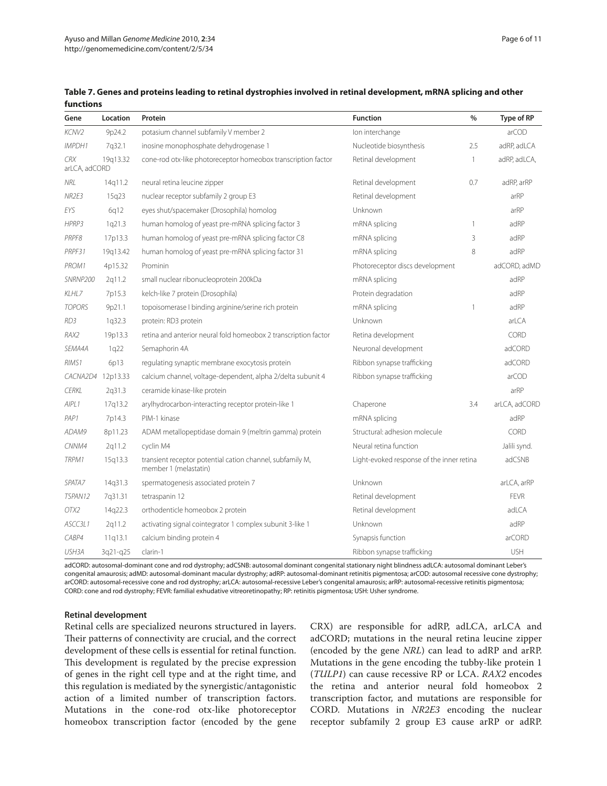| Gene                 | Location | Protein                                                                            | <b>Function</b>                           | %   | Type of RP    |
|----------------------|----------|------------------------------------------------------------------------------------|-------------------------------------------|-----|---------------|
| KCNV <sub>2</sub>    | 9p24.2   | potasium channel subfamily V member 2                                              | lon interchange                           |     | arCOD         |
| IMPDH1               | 7q32.1   | inosine monophosphate dehydrogenase 1                                              | Nucleotide biosynthesis                   | 2.5 | adRP, adLCA   |
| CRX<br>arLCA, adCORD | 19q13.32 | cone-rod otx-like photoreceptor homeobox transcription factor                      | Retinal development                       | 1   | adRP, adLCA,  |
| NRL                  | 14q11.2  | neural retina leucine zipper                                                       | Retinal development                       | 0.7 | adRP, arRP    |
| <b>NR2E3</b>         | 15q23    | nuclear receptor subfamily 2 group E3                                              | Retinal development                       |     | arRP          |
| EYS                  | 6q12     | eyes shut/spacemaker (Drosophila) homolog                                          | Unknown                                   |     | arRP          |
| HPRP3                | 1q21.3   | human homolog of yeast pre-mRNA splicing factor 3                                  | mRNA splicing                             | 1   | adRP          |
| PRPF8                | 17p13.3  | human homolog of yeast pre-mRNA splicing factor C8                                 | mRNA splicing                             | 3   | adRP          |
| PRPF31               | 19q13.42 | human homolog of yeast pre-mRNA splicing factor 31                                 | mRNA splicing                             | 8   | adRP          |
| PROM1                | 4p15.32  | Prominin                                                                           | Photoreceptor discs development           |     | adCORD, adMD  |
| SNRNP200             | 2q11.2   | small nuclear ribonucleoprotein 200kDa                                             | mRNA splicing                             |     | adRP          |
| KLHL7                | 7p15.3   | kelch-like 7 protein (Drosophila)                                                  | Protein degradation                       |     | adRP          |
| <b>TOPORS</b>        | 9p21.1   | topoisomerase I binding arginine/serine rich protein                               | mRNA splicing                             | 1   | adRP          |
| RD3                  | 1q32.3   | protein: RD3 protein                                                               | Unknown                                   |     | arLCA         |
| RAX2                 | 19p13.3  | retina and anterior neural fold homeobox 2 transcription factor                    | Retina development                        |     | CORD          |
| SEMA4A               | 1q22     | Semaphorin 4A                                                                      | Neuronal development                      |     | adCORD        |
| RIMS1                | 6p13     | regulating synaptic membrane exocytosis protein                                    | Ribbon synapse trafficking                |     | adCORD        |
| CACNA2D4             | 12p13.33 | calcium channel, voltage-dependent, alpha 2/delta subunit 4                        | Ribbon synapse trafficking                |     | arCOD         |
| CERKL                | 2q31.3   | ceramide kinase-like protein                                                       |                                           |     | arRP          |
| AIPL1                | 17q13.2  | arylhydrocarbon-interacting receptor protein-like 1                                | Chaperone                                 | 3.4 | arLCA, adCORD |
| PAP1                 | 7p14.3   | PIM-1 kinase                                                                       | mRNA splicing                             |     | adRP          |
| ADAM9                | 8p11.23  | ADAM metallopeptidase domain 9 (meltrin gamma) protein                             | Structural: adhesion molecule             |     | CORD          |
| CNNM4                | 2g11.2   | cyclin M4                                                                          | Neural retina function                    |     | Jalili synd.  |
| TRPM1                | 15q13.3  | transient receptor potential cation channel, subfamily M,<br>member 1 (melastatin) | Light-evoked response of the inner retina |     | adCSNB        |
| SPATA7               | 14q31.3  | spermatogenesis associated protein 7                                               | Unknown                                   |     | arLCA, arRP   |
| TSPAN12              | 7q31.31  | tetraspanin 12                                                                     | Retinal development                       |     | <b>FEVR</b>   |
| OTX2                 | 14q22.3  | orthodenticle homeobox 2 protein                                                   | Retinal development                       |     | adLCA         |
| ASCC3L1              | 2q11.2   | activating signal cointegrator 1 complex subunit 3-like 1                          | Unknown                                   |     | adRP          |
| CABP4                | 11q13.1  | calcium binding protein 4                                                          | Synapsis function                         |     | arCORD        |
| USH3A                | 3q21-q25 | clarin-1                                                                           | Ribbon synapse trafficking                |     | USH           |

**Table 7. Genes and proteins leading to retinal dystrophies involved in retinal development, mRNA splicing and other functions**

adCORD: autosomal-dominant cone and rod dystrophy; adCSNB: autosomal dominant congenital stationary night blindness adLCA: autosomal dominant Leber's congenital amaurosis; adMD: autosomal-dominant macular dystrophy; adRP: autosomal-dominant retinitis pigmentosa; arCOD: autosomal recessive cone dystrophy; arCORD: autosomal-recessive cone and rod dystrophy; arLCA: autosomal-recessive Leber's congenital amaurosis; arRP: autosomal-recessive retinitis pigmentosa; CORD: cone and rod dystrophy; FEVR: familial exhudative vitreoretinopathy; RP: retinitis pigmentosa; USH: Usher syndrome.

## **Retinal development**

Retinal cells are specialized neurons structured in layers. Their patterns of connectivity are crucial, and the correct development of these cells is essential for retinal function. This development is regulated by the precise expression of genes in the right cell type and at the right time, and this regulation is mediated by the synergistic/antagonistic action of a limited number of transcription factors. Mutations in the cone-rod otx-like photoreceptor homeobox transcription factor (encoded by the gene CRX) are responsible for adRP, adLCA, arLCA and adCORD; mutations in the neural retina leucine zipper (encoded by the gene *NRL*) can lead to adRP and arRP. Mutations in the gene encoding the tubby-like protein 1 (*TULP1*) can cause recessive RP or LCA. *RAX2* encodes the retina and anterior neural fold homeobox 2 transcription factor, and mutations are responsible for CORD. Mutations in *NR2E3* encoding the nuclear receptor subfamily 2 group E3 cause arRP or adRP.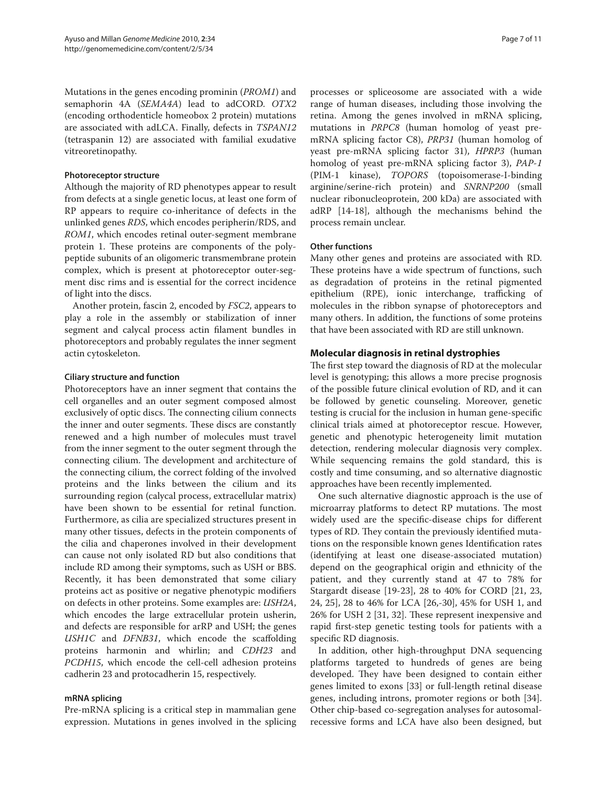Mutations in the genes encoding prominin (*PROM1*) and semaphorin 4A (*SEMA4A*) lead to adCORD. *OTX2* (encoding orthodenticle homeobox 2 protein) mutations are associated with adLCA. Finally, defects in *TSPAN12* (tetraspanin 12) are associated with familial exudative vitreoretinopathy.

## **Photoreceptor structure**

Although the majority of RD phenotypes appear to result from defects at a single genetic locus, at least one form of RP appears to require co-inheritance of defects in the unlinked genes *RDS*, which encodes peripherin/RDS, and *ROM1*, which encodes retinal outer-segment membrane protein 1. These proteins are components of the polypeptide subunits of an oligomeric transmembrane protein complex, which is present at photoreceptor outer-segment disc rims and is essential for the correct incidence of light into the discs.

Another protein, fascin 2, encoded by *FSC2*, appears to play a role in the assembly or stabilization of inner segment and calycal process actin filament bundles in photoreceptors and probably regulates the inner segment actin cytoskeleton.

## **Ciliary structure and function**

Photoreceptors have an inner segment that contains the cell organelles and an outer segment composed almost exclusively of optic discs. The connecting cilium connects the inner and outer segments. These discs are constantly renewed and a high number of molecules must travel from the inner segment to the outer segment through the connecting cilium. The development and architecture of the connecting cilium, the correct folding of the involved proteins and the links between the cilium and its surrounding region (calycal process, extracellular matrix) have been shown to be essential for retinal function. Furthermore, as cilia are specialized structures present in many other tissues, defects in the protein components of the cilia and chaperones involved in their development can cause not only isolated RD but also conditions that include RD among their symptoms, such as USH or BBS. Recently, it has been demonstrated that some ciliary proteins act as positive or negative phenotypic modifiers on defects in other proteins. Some examples are: *USH2A*, which encodes the large extracellular protein usherin, and defects are responsible for arRP and USH; the genes *USH1C* and *DFNB31*, which encode the scaffolding proteins harmonin and whirlin; and *CDH23* and *PCDH15*, which encode the cell-cell adhesion proteins cadherin 23 and protocadherin 15, respectively.

## **mRNA splicing**

Pre-mRNA splicing is a critical step in mammalian gene expression. Mutations in genes involved in the splicing

processes or spliceosome are associated with a wide range of human diseases, including those involving the retina. Among the genes involved in mRNA splicing, mutations in *PRPC8* (human homolog of yeast premRNA splicing factor C8), *PRP31* (human homolog of yeast pre-mRNA splicing factor 31), *HPRP3* (human homolog of yeast pre-mRNA splicing factor 3), *PAP-1*  (PIM-1 kinase), *TOPORS* (topoisomerase-I-binding arginine/serine-rich protein) and *SNRNP200* (small nuclear ribonucleoprotein, 200 kDa) are associated with adRP [14-18], although the mechanisms behind the process remain unclear.

## **Other functions**

Many other genes and proteins are associated with RD. These proteins have a wide spectrum of functions, such as degradation of proteins in the retinal pigmented epithelium (RPE), ionic interchange, trafficking of molecules in the ribbon synapse of photoreceptors and many others. In addition, the functions of some proteins that have been associated with RD are still unknown.

## **Molecular diagnosis in retinal dystrophies**

The first step toward the diagnosis of RD at the molecular level is genotyping; this allows a more precise prognosis of the possible future clinical evolution of RD, and it can be followed by genetic counseling. Moreover, genetic testing is crucial for the inclusion in human gene-specific clinical trials aimed at photoreceptor rescue. However, genetic and phenotypic heterogeneity limit mutation detection, rendering molecular diagnosis very complex. While sequencing remains the gold standard, this is costly and time consuming, and so alternative diagnostic approaches have been recently implemented.

One such alternative diagnostic approach is the use of microarray platforms to detect RP mutations. The most widely used are the specific-disease chips for different types of RD. They contain the previously identified mutations on the responsible known genes Identification rates (identifying at least one disease-associated mutation) depend on the geographical origin and ethnicity of the patient, and they currently stand at 47 to 78% for Stargardt disease [19-23], 28 to 40% for CORD [21, 23, 24, 25], 28 to 46% for LCA [26,-30], 45% for USH 1, and 26% for USH 2 [31, 32]. These represent inexpensive and rapid first-step genetic testing tools for patients with a specific RD diagnosis.

In addition, other high-throughput DNA sequencing platforms targeted to hundreds of genes are being developed. They have been designed to contain either genes limited to exons [33] or full-length retinal disease genes, including introns, promoter regions or both [34]. Other chip-based co-segregation analyses for autosomalrecessive forms and LCA have also been designed, but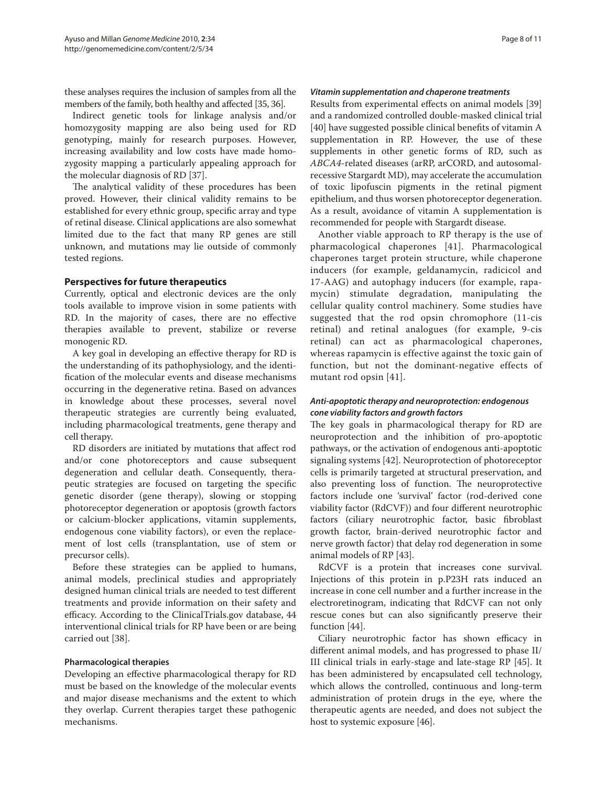these analyses requires the inclusion of samples from all the members of the family, both healthy and affected [35, 36].

Indirect genetic tools for linkage analysis and/or homozygosity mapping are also being used for RD genotyping, mainly for research purposes. However, increasing availability and low costs have made homozygosity mapping a particularly appealing approach for the molecular diagnosis of RD [37].

The analytical validity of these procedures has been proved. However, their clinical validity remains to be established for every ethnic group, specific array and type of retinal disease. Clinical applications are also somewhat limited due to the fact that many RP genes are still unknown, and mutations may lie outside of commonly tested regions.

## **Perspectives for future therapeutics**

Currently, optical and electronic devices are the only tools available to improve vision in some patients with RD. In the majority of cases, there are no effective therapies available to prevent, stabilize or reverse monogenic RD.

A key goal in developing an effective therapy for RD is the understanding of its pathophysiology, and the identification of the molecular events and disease mechanisms occurring in the degenerative retina. Based on advances in knowledge about these processes, several novel therapeutic strategies are currently being evaluated, including pharmacological treatments, gene therapy and cell therapy.

RD disorders are initiated by mutations that affect rod and/or cone photoreceptors and cause subsequent degeneration and cellular death. Consequently, therapeutic strategies are focused on targeting the specific genetic disorder (gene therapy), slowing or stopping photoreceptor degeneration or apoptosis (growth factors or calcium-blocker applications, vitamin supplements, endogenous cone viability factors), or even the replacement of lost cells (transplantation, use of stem or precursor cells).

Before these strategies can be applied to humans, animal models, preclinical studies and appropriately designed human clinical trials are needed to test different treatments and provide information on their safety and efficacy. According to the ClinicalTrials.gov database, 44 interventional clinical trials for RP have been or are being carried out [38].

## **Pharmacological therapies**

Developing an effective pharmacological therapy for RD must be based on the knowledge of the molecular events and major disease mechanisms and the extent to which they overlap. Current therapies target these pathogenic mechanisms.

## *Vitamin supplementation and chaperone treatments*

Results from experimental effects on animal models [39] and a randomized controlled double-masked clinical trial [40] have suggested possible clinical benefits of vitamin A supplementation in RP. However, the use of these supplements in other genetic forms of RD, such as *ABCA4*-related diseases (arRP, arCORD, and autosomalrecessive Stargardt MD), may accelerate the accumulation of toxic lipofuscin pigments in the retinal pigment epithelium, and thus worsen photoreceptor degeneration. As a result, avoidance of vitamin A supplementation is recommended for people with Stargardt disease.

Another viable approach to RP therapy is the use of pharmacological chaperones [41]. Pharmacological chaperones target protein structure, while chaperone inducers (for example, geldanamycin, radicicol and 17-AAG) and autophagy inducers (for example, rapamycin) stimulate degradation, manipulating the cellular quality control machinery. Some studies have suggested that the rod opsin chromophore (11-cis retinal) and retinal analogues (for example, 9-cis retinal) can act as pharmacological chaperones, whereas rapamycin is effective against the toxic gain of function, but not the dominant-negative effects of mutant rod opsin [41].

## *Anti-apoptotic therapy and neuroprotection: endogenous cone viability factors and growth factors*

The key goals in pharmacological therapy for RD are neuroprotection and the inhibition of pro-apoptotic pathways, or the activation of endogenous anti-apoptotic signaling systems [42]. Neuroprotection of photoreceptor cells is primarily targeted at structural preservation, and also preventing loss of function. The neuroprotective factors include one 'survival' factor (rod-derived cone viability factor (RdCVF)) and four different neurotrophic factors (ciliary neurotrophic factor, basic fibroblast growth factor, brain-derived neurotrophic factor and nerve growth factor) that delay rod degeneration in some animal models of RP [43].

RdCVF is a protein that increases cone survival. Injections of this protein in p.P23H rats induced an increase in cone cell number and a further increase in the electroretinogram, indicating that RdCVF can not only rescue cones but can also significantly preserve their function [44].

Ciliary neurotrophic factor has shown efficacy in different animal models, and has progressed to phase II/ III clinical trials in early-stage and late-stage RP [45]. It has been administered by encapsulated cell technology, which allows the controlled, continuous and long-term administration of protein drugs in the eye, where the therapeutic agents are needed, and does not subject the host to systemic exposure [46].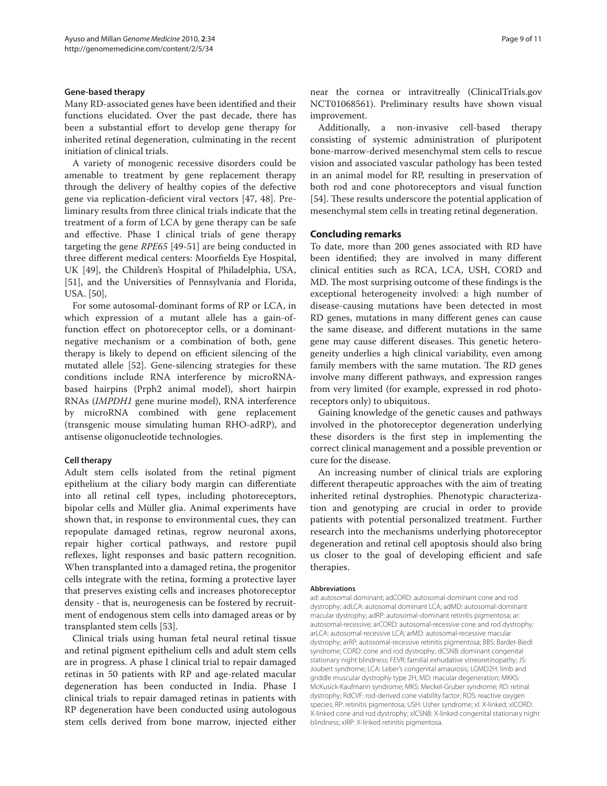### **Gene-based therapy**

Many RD-associated genes have been identified and their functions elucidated. Over the past decade, there has been a substantial effort to develop gene therapy for inherited retinal degeneration, culminating in the recent initiation of clinical trials.

A variety of monogenic recessive disorders could be amenable to treatment by gene replacement therapy through the delivery of healthy copies of the defective gene via replication-deficient viral vectors [47, 48]. Preliminary results from three clinical trials indicate that the treatment of a form of LCA by gene therapy can be safe and effective. Phase I clinical trials of gene therapy targeting the gene *RPE65* [49-51] are being conducted in three different medical centers: Moorfields Eye Hospital, UK [49], the Children's Hospital of Philadelphia, USA, [51], and the Universities of Pennsylvania and Florida, USA. [50],

For some autosomal-dominant forms of RP or LCA, in which expression of a mutant allele has a gain-offunction effect on photoreceptor cells, or a dominantnegative mechanism or a combination of both, gene therapy is likely to depend on efficient silencing of the mutated allele [52]. Gene-silencing strategies for these conditions include RNA interference by microRNAbased hairpins (Prph2 animal model), short hairpin RNAs (*IMPDH1* gene murine model), RNA interference by microRNA combined with gene replacement (transgenic mouse simulating human RHO-adRP), and antisense oligonucleotide technologies.

## **Cell therapy**

Adult stem cells isolated from the retinal pigment epithelium at the ciliary body margin can differentiate into all retinal cell types, including photoreceptors, bipolar cells and Müller glia. Animal experiments have shown that, in response to environmental cues, they can repopulate damaged retinas, regrow neuronal axons, repair higher cortical pathways, and restore pupil reflexes, light responses and basic pattern recognition. When transplanted into a damaged retina, the progenitor cells integrate with the retina, forming a protective layer that preserves existing cells and increases photoreceptor density - that is, neurogenesis can be fostered by recruitment of endogenous stem cells into damaged areas or by transplanted stem cells [53].

Clinical trials using human fetal neural retinal tissue and retinal pigment epithelium cells and adult stem cells are in progress. A phase I clinical trial to repair damaged retinas in 50 patients with RP and age-related macular degeneration has been conducted in India. Phase I clinical trials to repair damaged retinas in patients with RP degeneration have been conducted using autologous stem cells derived from bone marrow, injected either near the cornea or intravitreally (ClinicalTrials.gov NCT01068561). Preliminary results have shown visual improvement.

Additionally, a non-invasive cell-based therapy consisting of systemic administration of pluripotent bone-marrow-derived mesenchymal stem cells to rescue vision and associated vascular pathology has been tested in an animal model for RP, resulting in preservation of both rod and cone photoreceptors and visual function [54]. These results underscore the potential application of mesenchymal stem cells in treating retinal degeneration.

## **Concluding remarks**

To date, more than 200 genes associated with RD have been identified; they are involved in many different clinical entities such as RCA, LCA, USH, CORD and MD. The most surprising outcome of these findings is the exceptional heterogeneity involved: a high number of disease-causing mutations have been detected in most RD genes, mutations in many different genes can cause the same disease, and different mutations in the same gene may cause different diseases. This genetic heterogeneity underlies a high clinical variability, even among family members with the same mutation. The RD genes involve many different pathways, and expression ranges from very limited (for example, expressed in rod photoreceptors only) to ubiquitous.

Gaining knowledge of the genetic causes and pathways involved in the photoreceptor degeneration underlying these disorders is the first step in implementing the correct clinical management and a possible prevention or cure for the disease.

An increasing number of clinical trials are exploring different therapeutic approaches with the aim of treating inherited retinal dystrophies. Phenotypic characterization and genotyping are crucial in order to provide patients with potential personalized treatment. Further research into the mechanisms underlying photoreceptor degeneration and retinal cell apoptosis should also bring us closer to the goal of developing efficient and safe therapies.

#### **Abbreviations**

ad: autosomal dominant; adCORD: autosomal-dominant cone and rod dystrophy; adl CA: autosomal dominant LCA: adMD: autosomal-dominant macular dystrophy; adRP: autosomal-dominant retinitis pigmentosa; ar: autosomal-recessive; arCORD: autosomal-recessive cone and rod dystrophy; arLCA: autosomal-recessive LCA; arMD: autosomal-recessive macular dystrophy; arRP: autosomal-recessive retinitis pigmentosa; BBS: Bardet-Biedl syndrome; CORD: cone and rod dystrophy; dCSNB: dominant congenital stationary night blindness; FEVR: familial exhudative vitreoretinopathy; JS: Joubert syndrome; LCA: Leber's congenital amaurosis; LGMD2H: limb and griddle muscular dystrophy type 2H; MD: macular degeneration; MKKS: McKusick-Kaufmann syndrome; MKS: Meckel-Gruber syndrome; RD: retinal dystrophy; RdCVF: rod-derived cone viability factor; ROS: reactive oxygen species; RP: retinitis pigmentosa; USH: Usher syndrome; xl: X-linked; xlCORD: X-linked cone and rod dystrophy; xlCSNB: X-linked congenital stationary night blindness; xlRP: X-linked retinitis pigmentosa.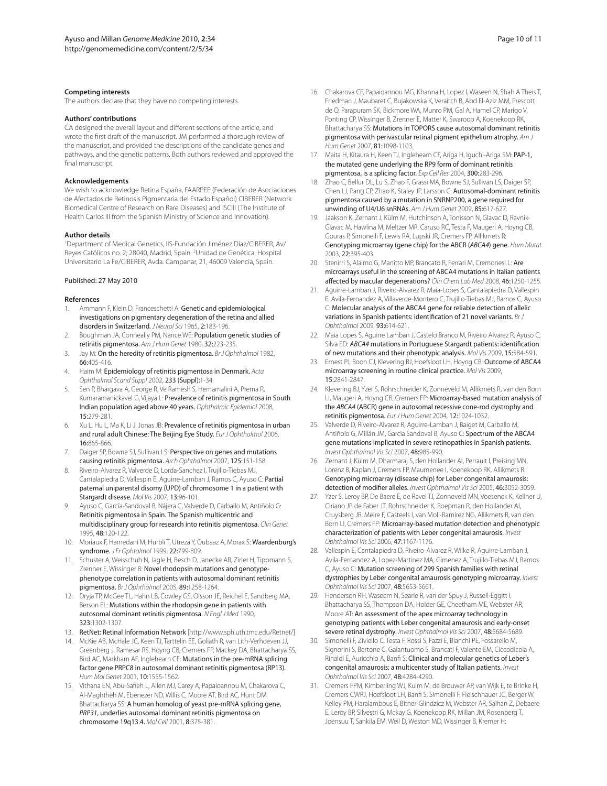#### **Competing interests**

The authors declare that they have no competing interests.

#### **Authors' contributions**

CA designed the overall layout and different sections of the article, and wrote the first draft of the manuscript. JM performed a thorough review of the manuscript, and provided the descriptions of the candidate genes and pathways, and the genetic patterns. Both authors reviewed and approved the final manuscript.

#### **Acknowledgements**

We wish to acknowledge Retina España, FAARPEE (Federación de Asociaciones de Afectados de Retinosis Pigmentaria del Estado Español) CIBERER (Network Biomedical Centre of Research on Rare Diseases) and ISCIII (The Institute of Health Carlos III from the Spanish Ministry of Science and Innovation).

#### **Author details**

1 Department of Medical Genetics, IIS-Fundación Jiménez Díaz/CIBERER, Av/ Reyes Católicos no. 2; 28040, Madrid, Spain. <sup>2</sup>Unidad de Genética, Hospital Universitario La Fe/CIBERER, Avda. Campanar, 21, 46009 Valencia, Spain.

#### Published: 27 May 2010

#### **References**

- Ammann F, Klein D, Franceschetti A: Genetic and epidemiological investigations on pigmentary degeneration of the retina and allied disorders in Switzerland*. J Neurol Sci* 1965, 2:183-196.
- 2. Boughman JA, Conneally PM, Nance WE: Population genetic studies of retinitis pigmentosa. *Am J Hum Genet* 1980, 32:223-235.
- 3. Jay M: On the heredity of retinitis pigmentosa. *Br J Ophthalmol* 1982, 66:405-416.
- 4. Haim M: Epidemiology of retinitis pigmentosa in Denmark. *Acta Ophthalmol Scand Suppl* 2002, 233 (Suppl):1-34.
- 5. Sen P, Bhargava A, George R, Ve Ramesh S, Hemamalini A, Prema R, Kumaramanickavel G, Vijaya L: Prevalence of retinitis pigmentosa in South Indian population aged above 40 years. *Ophthalmic Epidemiol* 2008, 15:279-281.
- 6. Xu L, Hu L, Ma K, Li J, Jonas JB: Prevalence of retinitis pigmentosa in urban and rural adult Chinese: The Beijing Eye Study. *Eur J Ophthalmol* 2006, 16:865-866.
- 7. Daiger SP, Bowne SJ, Sullivan LS: Perspective on genes and mutations causing retinitis pigmentosa. *Arch Ophthalmol* 2007, 125:151-158.
- 8. Riveiro-Alvarez R, Valverde D, Lorda-Sanchez I, Trujillo-Tiebas MJ, Cantalapiedra D, Vallespin E, Aguirre-Lamban J, Ramos C, Ayuso C: Partial paternal uniparental disomy (UPD) of chromosome 1 in a patient with Stargardt disease. *Mol Vis* 2007, 13:96-101.
- 9. Ayuso C, García-Sandoval B, Nájera C, Valverde D, Carballo M, Antiñolo G: Retinitis pigmentosa in Spain. The Spanish multicentric and multidisciplinary group for research into retinitis pigmentosa. *Clin Genet* 1995, 48:120-122.
- 10. Moriaux F, Hamedani M, Hurbli T, Utreza Y, Oubaaz A, Morax S: Waardenburg's syndrome. *J Fr Ophtalmol* 1999, 22:799-809.
- 11. Schuster A, Weisschuh N, Jagle H, Besch D, Janecke AR, Zirler H, Tippmann S, Zrenner E, Wissinger B: Novel rhodopsin mutations and genotypephenotype correlation in patients with autosomal dominant retinitis pigmentosa. *Br J Ophthalmol* 2005, 89:1258-1264.
- 12. Dryja TP, McGee TL, Hahn LB, Cowley GS, Olsson JE, Reichel E, Sandberg MA, Berson EL: Mutations within the rhodopsin gene in patients with autosomal dominant retinitis pigmentosa. *N Engl J Med* 1990, 323:1302-1307.
- 13. RetNet: Retinal Information Network [http://www.sph.uth.tmc.edu/Retnet/]
- 14. McKie AB, McHale JC, Keen TJ, Tarttelin EE, Goliath R, van Lith-Verhoeven JJ, Greenberg J, Ramesar RS, Hoyng CB, Cremers FP, Mackey DA, Bhattacharya SS, Bird AC, Markham AF, Inglehearn CF: Mutations in the pre-mRNA splicing factor gene PRPC8 in autosomal dominant retinitis pigmentosa (RP13). *Hum Mol Genet* 2001, 10:1555-1562.
- 15. Vithana EN, Abu-Safieh L, Allen MJ, Carey A, Papaioannou M, Chakarova C, Al-Maghtheh M, Ebenezer ND, Willis C, Moore AT, Bird AC, Hunt DM, Bhattacharya SS: A human homolog of yeast pre-mRNA splicing gene, *PRP31*, underlies autosomal dominant retinitis pigmentosa on chromosome 19q13.4. *Mol Cell* 2001, 8:375-381.

Page 10 of 11

- 16. Chakarova CF, Papaioannou MG, Khanna H, Lopez I, Waseen N, Shah A Theis T, Friedman J, Maubaret C, Bujakowska K, Veraitch B, Abd El-Aziz MM, Prescott de Q, Parapuram SK, Bickmore WA, Munro PM, Gal A, Hamel CP, Marigo V, Ponting CP, Wissinger B, Zrenner E, Matter K, Swaroop A, Koenekoop RK, Bhattacharya SS: Mutations in TOPORS cause autosomal dominant retinitis pigmentosa with perivascular retinal pigment epithelium atrophy. *Am J Hum Genet* 2007, 81:1098-1103.
- 17. Maita H, Kitaura H, Keen TJ, Inglehearn CF, Ariga H, Iguchi-Ariga SM: PAP-1, the mutated gene underlying the RP9 form of dominant retinitis pigmentosa, is a splicing factor. *Exp Cell Res* 2004, 300:283-296.
- 18. Zhao C, Bellur DL, Lu S, Zhao F, Grassi MA, Bowne SJ, Sullivan LS, Daiger SP, Chen LJ, Pang CP, Zhao K, Staley JP, Larsson C: Autosomal-dominant retinitis pigmentosa caused by a mutation in SNRNP200, a gene required for unwinding of U4/U6 snRNAs. *Am J Hum Genet* 2009, 85:617-627.
- 19. Jaakson K, Zernant J, Külm M, Hutchinson A, Tonisson N, Glavac D, Ravnik-Glavac M, Hawlina M, Meltzer MR, Caruso RC, Testa F, Maugeri A, Hoyng CB, Gouras P, Simonelli F, Lewis RA, Lupski JR, Cremers FP, Allikmets R: Genotyping microarray (gene chip) for the ABCR (*ABCA4*) gene. *Hum Mutat* 2003, 22:395-403.
- 20. Stenirri S, Alaimo G, Manitto MP, Brancato R, Ferrari M, Cremonesi L: Are microarrays useful in the screening of ABCA4 mutations in Italian patients affected by macular degenerations? *Clin Chem Lab Med* 2008, 46:1250-1255.
- 21. Aguirre-Lamban J, Riveiro-Alvarez R, Maia-Lopes S, Cantalapiedra D, Vallespin E, Avila-Fernandez A, Villaverde-Montero C, Trujillo-Tiebas MJ, Ramos C, Ayuso C: Molecular analysis of the ABCA4 gene for reliable detection of allelic variations in Spanish patients: identification of 21 novel variants. *Br J Ophthalmol* 2009, 93:614-621.
- 22. Maia Lopes S, Aguirre Lamban J, Castelo Branco M, Riveiro Alvarez R, Ayuso C, Silva ED: *ABCA4* mutations in Portuguese Stargardt patients: identification of new mutations and their phenotypic analysis. *Mol Vis* 2009, 15:584-591.
- 23. Ernest PJ, Boon CJ, Klevering BJ, Hoefsloot LH, Hoyng CB: Outcome of ABCA4 microarray screening in routine clinical practice. *Mol Vis* 2009, 15:2841-2847.
- 24. Klevering BJ, Yzer S, Rohrschneider K, Zonneveld M, Allikmets R, van den Born LI, Maugeri A, Hoyng CB, Cremers FP: Microarray-based mutation analysis of the *ABCA4* (ABCR) gene in autosomal recessive cone-rod dystrophy and retinitis pigmentosa. *Eur J Hum Genet* 2004, 12:1024-1032.
- 25. Valverde D, Riveiro-Alvarez R, Aguirre-Lamban J, Baiget M, Carballo M, Antiñolo G, Millán JM, Garcia Sandoval B, Ayuso C: Spectrum of the ABCA4 gene mutations implicated in severe retinopathies in Spanish patients. *Invest Ophthalmol Vis Sci* 2007, 48:985-990.
- 26. Zernant J, Külm M, Dharmaraj S, den Hollander AI, Perrault I, Preising MN, Lorenz B, Kaplan J, Cremers FP, Maumenee I, Koenekoop RK, Allikmets R: Genotyping microarray (disease chip) for Leber congenital amaurosis: detection of modifier alleles. *Invest Ophthalmol Vis Sci* 2005, 46:3052-3059.
- 27. Yzer S, Leroy BP, De Baere E, de Ravel TJ, Zonneveld MN, Voesenek K, Kellner U, Ciriano JP, de Faber JT, Rohrschneider K, Roepman R, den Hollander AI, Cruysberg JR, Meire F, Casteels I, van Moll-Ramirez NG, Allikmets R, van den Born LI, Cremers FP: Microarray-based mutation detection and phenotypic characterization of patients with Leber congenital amaurosis. *Invest Ophthalmol Vis Sci* 2006, 47:1167-1176.
- 28. Vallespin E, Cantalapiedra D, Riveiro-Alvarez R, Wilke R, Aguirre-Lamban J, Avila-Fernandez A, Lopez-Martinez MA, Gimenez A, Trujillo-Tiebas MJ, Ramos C, Ayuso C: Mutation screening of 299 Spanish families with retinal dystrophies by Leber congenital amaurosis genotyping microarray. *Invest Ophthalmol Vis Sci* 2007, 48:5653-5661.
- 29. Henderson RH, Waseem N, Searle R, van der Spuy J, Russell-Eggitt I, Bhattacharya SS, Thompson DA, Holder GE, Cheetham ME, Webster AR, Moore AT: An assessment of the apex microarray technology in genotyping patients with Leber congenital amaurosis and early-onset severe retinal dystrophy. *Invest Ophthalmol Vis Sci* 2007, 48:5684-5689.
- 30. Simonelli F, Ziviello C, Testa F, Rossi S, Fazzi E, Bianchi PE, Fossarello M, Signorini S, Bertone C, Galantuomo S, Brancati F, Valente EM, Ciccodicola A, Rinaldi E, Auricchio A, Banfi S: Clinical and molecular genetics of Leber's congenital amaurosis: a multicenter study of Italian patients. *Invest Ophthalmol Vis Sci* 2007, 48:4284-4290.
- 31. Cremers FPM, Kimberling WJ, Kulm M, de Brouwer AP, van Wijk E, te Brinke H, Cremers CWRJ, Hoefsloot LH, Banfi S, Simonelli F, Fleischhauer JC, Berger W, Kelley PM, Haralambous E, Bitner-Glindzicz M, Webster AR, Saihan Z, Debaere E, Leroy BP, Silvestri G, Mckay G, Koenekoop RK, Millan JM, Rosenberg T, Joensuu T, Sankila EM, Weil D, Weston MD, Wissinger B, Kremer H: